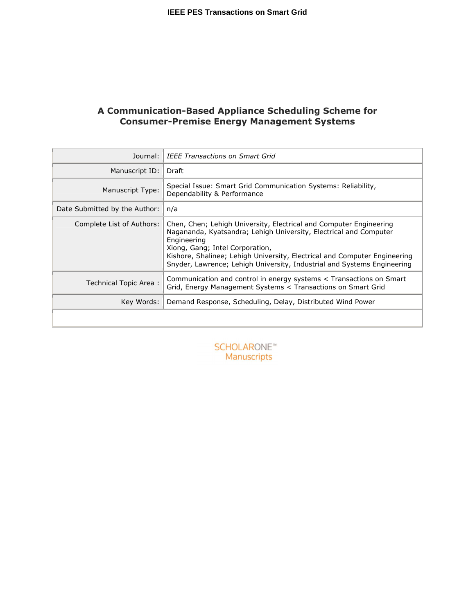# **A Communication-Based Appliance Scheduling Scheme for Consumer-Premise Energy Management Systems**

| Journal:                      | <b>IEEE Transactions on Smart Grid</b>                                                                                                                                                                                                                                                                                                            |
|-------------------------------|---------------------------------------------------------------------------------------------------------------------------------------------------------------------------------------------------------------------------------------------------------------------------------------------------------------------------------------------------|
| Manuscript ID:                | Draft                                                                                                                                                                                                                                                                                                                                             |
| Manuscript Type:              | Special Issue: Smart Grid Communication Systems: Reliability,<br>Dependability & Performance                                                                                                                                                                                                                                                      |
| Date Submitted by the Author: | n/a                                                                                                                                                                                                                                                                                                                                               |
| Complete List of Authors:     | Chen, Chen; Lehigh University, Electrical and Computer Engineering<br>Nagananda, Kyatsandra; Lehigh University, Electrical and Computer<br>Engineering<br>Xiong, Gang; Intel Corporation,<br>Kishore, Shalinee; Lehigh University, Electrical and Computer Engineering<br>Snyder, Lawrence; Lehigh University, Industrial and Systems Engineering |
| Technical Topic Area:         | Communication and control in energy systems < Transactions on Smart<br>Grid, Energy Management Systems < Transactions on Smart Grid                                                                                                                                                                                                               |
| Key Words:                    | Demand Response, Scheduling, Delay, Distributed Wind Power                                                                                                                                                                                                                                                                                        |
|                               |                                                                                                                                                                                                                                                                                                                                                   |

**SCHOLARONE**™ Manuscripts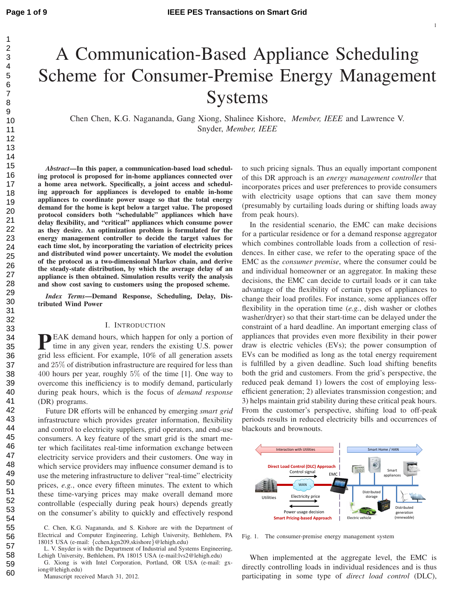# A Communication-Based Appliance Scheduling Scheme for Consumer-Premise Energy Management Systems

Chen Chen, K.G. Nagananda, Gang Xiong, Shalinee Kishore, *Member, IEEE* and Lawrence V. Snyder, *Member, IEEE*

*Abstract***—In this paper, a communication-based load scheduling protocol is proposed for in-home appliances connected over a home area network. Specifically, a joint access and scheduling approach for appliances is developed to enable in-home appliances to coordinate power usage so that the total energy demand for the home is kept below a target value. The proposed protocol considers both "schedulable" appliances which have delay flexibility, and "critical" appliances which consume power as they desire. An optimization problem is formulated for the energy management controller to decide the target values for each time slot, by incorporating the variation of electricity prices and distributed wind power uncertainty. We model the evolution of the protocol as a two-dimensional Markov chain, and derive the steady-state distribution, by which the average delay of an appliance is then obtained. Simulation results verify the analysis and show cost saving to customers using the proposed scheme.**

*Index Terms***—Demand Response, Scheduling, Delay, Distributed Wind Power**

# I. INTRODUCTION

**P**EAK demand hours, which happen for only a portion of time in any given year, renders the existing U.S. power time in any given year, renders the existing U.S. power grid less efficient. For example, 10% of all generation assets and 25% of distribution infrastructure are required for less than 400 hours per year, roughly 5% of the time [1]. One way to overcome this inefficiency is to modify demand, particularly during peak hours, which is the focus of *demand response* (DR) programs.

Future DR efforts will be enhanced by emerging *smart grid* infrastructure which provides greater information, flexibility and control to electricity suppliers, grid operators, and end-use consumers. A key feature of the smart grid is the smart meter which facilitates real-time information exchange between electricity service providers and their customers. One way in which service providers may influence consumer demand is to use the metering infrastructure to deliver "real-time" electricity prices, *e.g.*, once every fifteen minutes. The extent to which these time-varying prices may make overall demand more controllable (especially during peak hours) depends greatly on the consumer's ability to quickly and effectively respond

Manuscript received March 31, 2012.

to such pricing signals. Thus an equally important component of this DR approach is an *energy management controller* that incorporates prices and user preferences to provide consumers with electricity usage options that can save them money (presumably by curtailing loads during or shifting loads away from peak hours).

In the residential scenario, the EMC can make decisions for a particular residence or for a demand response aggregator which combines controllable loads from a collection of residences. In either case, we refer to the operating space of the EMC as the *consumer premise*, where the consumer could be and individual homeowner or an aggregator. In making these decisions, the EMC can decide to curtail loads or it can take advantage of the flexibility of certain types of appliances to change their load profiles. For instance, some appliances offer flexibility in the operation time (*e.g.*, dish washer or clothes washer/dryer) so that their start-time can be delayed under the constraint of a hard deadline. An important emerging class of appliances that provides even more flexibility in their power draw is electric vehicles (EVs); the power consumption of EVs can be modified as long as the total energy requirement is fulfilled by a given deadline. Such load shifting benefits both the grid and customers. From the grid's perspective, the reduced peak demand 1) lowers the cost of employing lessefficient generation; 2) alleviates transmission congestion; and 3) helps maintain grid stability during these critical peak hours. From the customer's perspective, shifting load to off-peak periods results in reduced electricity bills and occurrences of blackouts and brownouts.



Fig. 1. The consumer-premise energy management system

When implemented at the aggregate level, the EMC is directly controlling loads in individual residences and is thus participating in some type of *direct load control* (DLC),

60

C. Chen, K.G. Nagananda, and S. Kishore are with the Department of Electrical and Computer Engineering, Lehigh University, Bethlehem, PA 18015 USA (e-mail: {cchen,kgn209,skishore}@lehigh.edu)

L. V. Snyder is with the Department of Industrial and Systems Engineering, Lehigh University, Bethlehem, PA 18015 USA (e-mail:lvs2@lehigh.edu)

G. Xiong is with Intel Corporation, Portland, OR USA (e-mail: gxiong@lehigh.edu)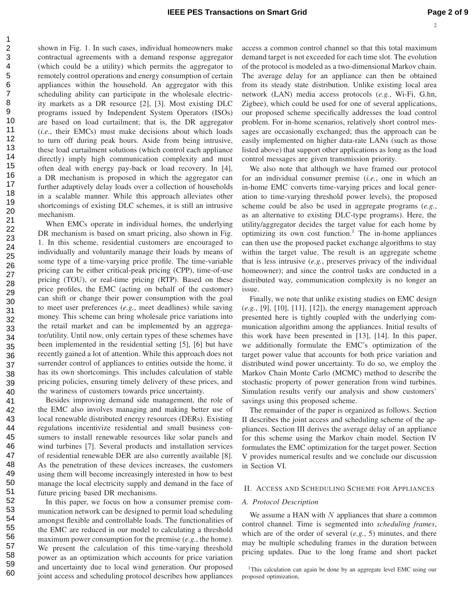$\overline{2}$ 

shown in Fig. 1. In such cases, individual homeowners make contractual agreements with a demand response aggregator (which could be a utility) which permits the aggregator to remotely control operations and energy consumption of certain appliances within the household. An aggregator with this scheduling ability can participate in the wholesale electricity markets as a DR resource [2], [3]. Most existing DLC programs issued by Independent System Operators (ISOs) are based on load curtailment; that is, the DR aggregator (*i.e.*, their EMCs) must make decisions about which loads to turn off during peak hours. Aside from being intrusive, these load curtailment solutions (which control each appliance directly) imply high communication complexity and must often deal with energy pay-back or load recovery. In [4], a DR mechanism is proposed in which the aggregator can further adaptively delay loads over a collection of households in a scalable manner. While this approach alleviates other shortcomings of existing DLC schemes, it is still an intrusive mechanism.

When EMCs operate in individual homes, the underlying DR mechanism is based on smart pricing, also shown in Fig. 1. In this scheme, residential customers are encouraged to individually and voluntarily manage their loads by means of some type of a time-varying price profile. The time-variable pricing can be either critical-peak pricing (CPP), time-of-use pricing (TOU), or real-time pricing (RTP). Based on these price profiles, the EMC (acting on behalf of the customer) can shift or change their power consumption with the goal to meet user preferences (*e.g.*, meet deadlines) while saving money. This scheme can bring wholesale price variations into the retail market and can be implemented by an aggregator/utility. Until now, only certain types of these schemes have been implemented in the residential setting [5], [6] but have recently gained a lot of attention. While this approach does not surrender control of appliances to entities outside the home, it has its own shortcomings. This includes calculation of stable pricing policies, ensuring timely delivery of these prices, and the wariness of customers towards price uncertainty.

Besides improving demand side management, the role of the EMC also involves managing and making better use of local renewable distributed energy resources (DERs). Existing regulations incentivize residential and small business consumers to install renewable resources like solar panels and wind turbines [7]. Several products and installation services of residential renewable DER are also currently available [8]. As the penetration of these devices increases, the customers using them will become increasingly interested in how to best manage the local electricity supply and demand in the face of future pricing based DR mechanisms.

In this paper, we focus on how a consumer premise communication network can be designed to permit load scheduling amongst flexible and controllable loads. The functionalities of the EMC are reduced in our model to calculating a threshold maximum power consumption for the premise (*e.g.*, the home). We present the calculation of this time-varying threshold power as an optimization which accounts for price variation and uncertainty due to local wind generation. Our proposed joint access and scheduling protocol describes how appliances access a common control channel so that this total maximum demand target is not exceeded for each time slot. The evolution of the protocol is modeled as a two-dimensional Markov chain. The average delay for an appliance can then be obtained from its steady state distribution. Unlike existing local area network (LAN) media access protocols (*e.g.*, Wi-Fi, G.hn, Zigbee), which could be used for one of several applications, our proposed scheme specifically addresses the load control problem. For in-home scenarios, relatively short control messages are occasionally exchanged; thus the approach can be easily implemented on higher data-rate LANs (such as those listed above) that support other applications as long as the load control messages are given transmission priority.

We also note that although we have framed our protocol for an individual consumer premise (*i.e.*, one in which an in-home EMC converts time-varying prices and local generation to time-varying threshold power levels), the proposed scheme could be also be used in aggregate programs (*e.g.*, as an alternative to existing DLC-type programs). Here, the utility/aggregator decides the target value for each home by optimizing its own cost function.<sup>1</sup> The in-home appliances can then use the proposed packet exchange algorithms to stay within the target value. The result is an aggregate scheme that is less intrusive (*e.g.*, preserves privacy of the individual homeowner); and since the control tasks are conducted in a distributed way, communication complexity is no longer an issue.

Finally, we note that unlike existing studies on EMC design (*e.g.*, [9], [10], [11], [12]), the energy management approach presented here is tightly coupled with the underlying communication algorithm among the appliances. Initial results of this work have been presented in [13], [14]. In this paper, we additionally formulate the EMC's optimization of the target power value that accounts for both price variation and distributed wind power uncertainty. To do so, we employ the Markov Chain Monte Carlo (MCMC) method to describe the stochastic property of power generation from wind turbines. Simulation results verify our analysis and show customers' savings using this proposed scheme.

The remainder of the paper is organized as follows. Section II describes the joint access and scheduling scheme of the appliances. Section III derives the average delay of an appliance for this scheme using the Markov chain model. Section IV formulates the EMC optimization for the target power. Section V provides numerical results and we conclude our discussion in Section VI.

#### II. ACCESS AND SCHEDULING SCHEME FOR APPLIANCES

# *A. Protocol Description*

We assume a HAN with  $N$  appliances that share a common control channel. Time is segmented into *scheduling frames*, which are of the order of several (*e.g.*, 5) minutes, and there may be multiple scheduling frames in the duration between pricing updates. Due to the long frame and short packet

<sup>&</sup>lt;sup>1</sup>This calculation can again be done by an aggregate level EMC using our proposed optimization,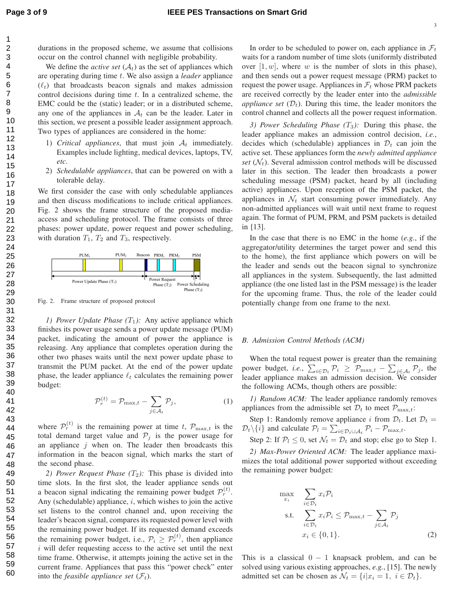durations in the proposed scheme, we assume that collisions occur on the control channel with negligible probability. We define the *active set*  $(A_t)$  as the set of appliances which are operating during time t. We also assign a *leader* appliance  $(\ell_t)$  that broadcasts beacon signals and makes admission control decisions during time  $t$ . In a centralized scheme, the EMC could be the (static) leader; or in a distributed scheme,

any one of the appliances in  $A_t$  can be the leader. Later in this section, we present a possible leader assignment approach. Two types of appliances are considered in the home:

- 1) *Critical appliances*, that must join  $A_t$  immediately. Examples include lighting, medical devices, laptops, TV, *etc*.
- 2) *Schedulable appliances*, that can be powered on with a tolerable delay.

We first consider the case with only schedulable appliances and then discuss modifications to include critical appliances. Fig. 2 shows the frame structure of the proposed mediaaccess and scheduling protocol. The frame consists of three phases: power update, power request and power scheduling, with duration  $T_1$ ,  $T_2$  and  $T_3$ , respectively.



Fig. 2. Frame structure of proposed protocol

*1) Power Update Phase*  $(T_1)$ : Any active appliance which finishes its power usage sends a power update message (PUM) packet, indicating the amount of power the appliance is releasing. Any appliance that completes operation during the other two phases waits until the next power update phase to transmit the PUM packet. At the end of the power update phase, the leader appliance  $\ell_t$  calculates the remaining power budget:

$$
\mathcal{P}_r^{(t)} = \mathcal{P}_{\max,t} - \sum_{j \in \mathcal{A}_t} \mathcal{P}_j,\tag{1}
$$

where  $\mathcal{P}_r^{(t)}$  is the remaining power at time t,  $\mathcal{P}_{\text{max},t}$  is the total demand target value and  $\mathcal{P}_j$  is the power usage for an appliance  $j$  when on. The leader then broadcasts this information in the beacon signal, which marks the start of the second phase.

2) Power Request Phase  $(T_2)$ : This phase is divided into time slots. In the first slot, the leader appliance sends out a beacon signal indicating the remaining power budget  $\mathcal{P}_r^{(t)}$ . Any (schedulable) appliance,  $i$ , which wishes to join the active set listens to the control channel and, upon receiving the leader's beacon signal, compares its requested power level with the remaining power budget. If its requested demand exceeds the remaining power budget, i.e.,  $\mathcal{P}_i \geq \mathcal{P}_r^{(t)}$ , then appliance  $i$  will defer requesting access to the active set until the next time frame. Otherwise, it attempts joining the active set in the current frame. Appliances that pass this "power check" enter into the *feasible appliance set*  $(\mathcal{F}_t)$ .

In order to be scheduled to power on, each appliance in  $\mathcal{F}_t$ waits for a random number of time slots (uniformly distributed over  $[1, w]$ , where w is the number of slots in this phase), and then sends out a power request message (PRM) packet to request the power usage. Appliances in  $\mathcal{F}_t$  whose PRM packets are received correctly by the leader enter into the *admissible appliance set*  $(\mathcal{D}_t)$ . During this time, the leader monitors the control channel and collects all the power request information.

*3) Power Scheduling Phase (T<sub>3</sub>): During this phase, the* leader appliance makes an admission control decision, *i.e.*, decides which (schedulable) appliances in  $\mathcal{D}_t$  can join the active set. These appliances form the *newly admitted appliance set*  $(\mathcal{N}_t)$ . Several admission control methods will be discussed later in this section. The leader then broadcasts a power scheduling message (PSM) packet, heard by all (including active) appliances. Upon reception of the PSM packet, the appliances in  $\mathcal{N}_t$  start consuming power immediately. Any non-admitted appliances will wait until next frame to request again. The format of PUM, PRM, and PSM packets is detailed in [13].

In the case that there is no EMC in the home (*e.g.*, if the aggregator/utility determines the target power and send this to the home), the first appliance which powers on will be the leader and sends out the beacon signal to synchronize all appliances in the system. Subsequently, the last admitted appliance (the one listed last in the PSM message) is the leader for the upcoming frame. Thus, the role of the leader could potentially change from one frame to the next.

#### *B. Admission Control Methods (ACM)*

m

When the total request power is greater than the remaining power budget, *i.e.*,  $\sum_{i \in \mathcal{D}_t} \mathcal{P}_i \geq \mathcal{P}_{\max,t} - \sum_{j \in \mathcal{A}_t} \mathcal{P}_j$ , the leader appliance makes an admission decision. We consider the following ACMs, though others are possible:

*1) Random ACM:* The leader appliance randomly removes appliances from the admissible set  $\mathcal{D}_t$  to meet  $\mathcal{P}_{\text{max},t}$ :

Step 1: Randomly remove appliance i from  $\mathcal{D}_t$ . Let  $\mathcal{D}_t$  =  $\mathcal{D}_t \setminus \{i\}$  and calculate  $\mathcal{P}_l = \sum_{i \in \mathcal{D}_t \cup \mathcal{A}_t} \mathcal{P}_i - \mathcal{P}_{\max,t}$ .

Step 2: If  $P_l \leq 0$ , set  $\mathcal{N}_t = \mathcal{D}_t$  and stop; else go to Step 1.

*2) Max-Power Oriented ACM:* The leader appliance maximizes the total additional power supported without exceeding the remaining power budget:

$$
\max_{x_i} \sum_{i \in \mathcal{D}_t} x_i \mathcal{P}_i
$$
\n
$$
\text{s.t.} \sum_{i \in \mathcal{D}_t} x_i \mathcal{P}_i \le \mathcal{P}_{\text{max},t} - \sum_{j \in \mathcal{A}_t} \mathcal{P}_j
$$
\n
$$
x_i \in \{0, 1\}.
$$
\n
$$
(2)
$$

This is a classical  $0 - 1$  knapsack problem, and can be solved using various existing approaches, *e.g.*, [15]. The newly admitted set can be chosen as  $\mathcal{N}_t = \{i | x_i = 1, i \in \mathcal{D}_t\}.$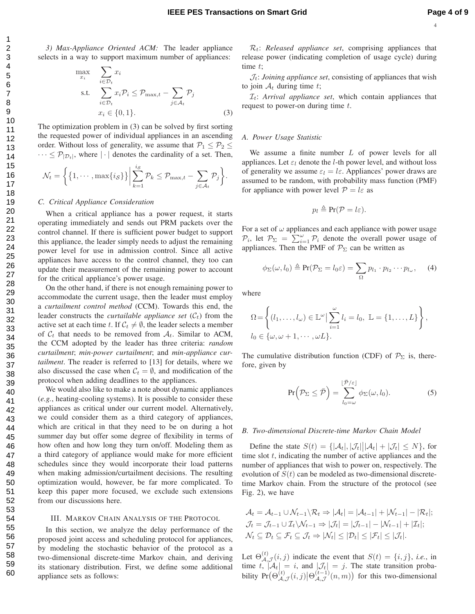*3) Max-Appliance Oriented ACM:* The leader appliance selects in a way to support maximum number of appliances:

$$
\max_{x_i} \sum_{i \in \mathcal{D}_t} x_i
$$
\n
$$
\text{s.t.} \sum_{i \in \mathcal{D}_t} x_i \mathcal{P}_i \leq \mathcal{P}_{\max, t} - \sum_{j \in \mathcal{A}_t} \mathcal{P}_j
$$
\n
$$
x_i \in \{0, 1\}. \tag{3}
$$

The optimization problem in (3) can be solved by first sorting the requested power of individual appliances in an ascending order. Without loss of generality, we assume that  $P_1 \le P_2 \le$  $\cdots \leq \mathcal{P}_{|\mathcal{D}_t|}$ , where  $|\cdot|$  denotes the cardinality of a set. Then,

$$
\mathcal{N}_t = \left\{ \left\{ 1, \cdots, \max\{i_{\mathcal{S}}\} \right\} \middle| \sum_{k=1}^{i_{\mathcal{S}}} \mathcal{P}_k \leq \mathcal{P}_{\max, t} - \sum_{j \in \mathcal{A}_t} \mathcal{P}_j \right\}.
$$

#### *C. Critical Appliance Consideration*

When a critical appliance has a power request, it starts operating immediately and sends out PRM packets over the control channel. If there is sufficient power budget to support this appliance, the leader simply needs to adjust the remaining power level for use in admission control. Since all active appliances have access to the control channel, they too can update their measurement of the remaining power to account for the critical appliance's power usage.

On the other hand, if there is not enough remaining power to accommodate the current usage, then the leader must employ a *curtailment control method* (CCM). Towards this end, the leader constructs the *curtailable appliance set*  $(C_t)$  from the active set at each time t. If  $C_t \neq \emptyset$ , the leader selects a member of  $C_t$  that needs to be removed from  $A_t$ . Similar to ACM, the CCM adopted by the leader has three criteria: *random curtailment*; *min-power curtailment*; and *min-appliance curtailment*. The reader is referred to [13] for details, where we also discussed the case when  $C_t = \emptyset$ , and modification of the protocol when adding deadlines to the appliances.

We would also like to make a note about dynamic appliances (*e.g.*, heating-cooling systems). It is possible to consider these appliances as critical under our current model. Alternatively, we could consider them as a third category of appliances, which are critical in that they need to be on during a hot summer day but offer some degree of flexibility in terms of how often and how long they turn on/off. Modeling them as a third category of appliance would make for more efficient schedules since they would incorporate their load patterns when making admission/curtailment decisions. The resulting optimization would, however, be far more complicated. To keep this paper more focused, we exclude such extensions from our discussions here.

#### III. MARKOV CHAIN ANALYSIS OF THE PROTOCOL

In this section, we analyze the delay performance of the proposed joint access and scheduling protocol for appliances, by modeling the stochastic behavior of the protocol as a two-dimensional discrete-time Markov chain, and deriving its stationary distribution. First, we define some additional appliance sets as follows:

 $\mathcal{R}_t$ : *Released appliance set*, comprising appliances that release power (indicating completion of usage cycle) during time  $t$ ;

 $\mathcal{J}_t$ : *Joining appliance set*, consisting of appliances that wish to join  $A_t$  during time t;

 $\mathcal{I}_t$ : *Arrival appliance set*, which contain appliances that request to power-on during time  $t$ .

### *A. Power Usage Statistic*

We assume a finite number  $L$  of power levels for all appliances. Let  $\varepsilon_l$  denote the *l*-th power level, and without loss of generality we assume  $\varepsilon_l = l \varepsilon$ . Appliances' power draws are assumed to be random, with probability mass function (PMF) for appliance with power level  $P = l\varepsilon$  as

$$
p_l \triangleq \Pr(\mathcal{P} = l\varepsilon).
$$

For a set of  $\omega$  appliances and each appliance with power usage  $\mathcal{P}_i$ , let  $\mathcal{P}_{\Sigma} = \sum_{i=1}^{\infty} \mathcal{P}_i$  denote the overall power usage of appliances. Then the PMF of  $\mathcal{P}_{\Sigma}$  can be written as

$$
\phi_{\Sigma}(\omega, l_0) \triangleq \Pr(\mathcal{P}_{\Sigma} = l_0 \varepsilon) = \sum_{\Omega} p_{l_1} \cdot p_{l_2} \cdots p_{l_{\omega}}, \quad (4)
$$

where

$$
\Omega = \left\{ (l_1, \ldots, l_\omega) \in \mathbb{L}^\omega \middle| \sum_{i=1}^\omega l_i = l_0, \ \mathbb{L} = \{1, \ldots, L\} \right\},
$$
  

$$
l_0 \in \{\omega, \omega + 1, \cdots, \omega L\}.
$$

The cumulative distribution function (CDF) of  $\mathcal{P}_{\Sigma}$  is, therefore, given by

$$
\Pr\left(\mathcal{P}_{\Sigma} \leq \bar{\mathcal{P}}\right) = \sum_{l_0=\omega}^{\lfloor \bar{\mathcal{P}}/\varepsilon \rfloor} \phi_{\Sigma}(\omega, l_0). \tag{5}
$$

#### *B. Two-dimensional Discrete-time Markov Chain Model*

Define the state  $S(t) = \{|\mathcal{A}_t|, |\mathcal{J}_t|| |\mathcal{A}_t| + |\mathcal{J}_t| \leq N\}$ , for time slot  $t$ , indicating the number of active appliances and the number of appliances that wish to power on, respectively. The evolution of  $S(t)$  can be modeled as two-dimensional discretetime Markov chain. From the structure of the protocol (see Fig. 2), we have

$$
\mathcal{A}_t = \mathcal{A}_{t-1} \cup \mathcal{N}_{t-1} \setminus \mathcal{R}_t \Rightarrow |\mathcal{A}_t| = |\mathcal{A}_{t-1}| + |\mathcal{N}_{t-1}| - |\mathcal{R}_t|;
$$
\n
$$
\mathcal{J}_t = \mathcal{J}_{t-1} \cup \mathcal{I}_t \setminus \mathcal{N}_{t-1} \Rightarrow |\mathcal{J}_t| = |\mathcal{J}_{t-1}| - |\mathcal{N}_{t-1}| + |\mathcal{I}_t|;
$$
\n
$$
\mathcal{N}_t \subseteq \mathcal{D}_t \subseteq \mathcal{F}_t \subseteq \mathcal{J}_t \Rightarrow |\mathcal{N}_t| \le |\mathcal{D}_t| \le |\mathcal{F}_t| \le |\mathcal{J}_t|.
$$

Let  $\Theta^{(t)}_A$  $A_{\mathcal{A},\mathcal{J}}^{(i)}(i,j)$  indicate the event that  $S(t) = \{i,j\}$ , *i.e.*, in time t,  $|\mathcal{A}_t| = i$ , and  $|\mathcal{J}_t| = j$ . The state transition probability  $Pr(\Theta_A^{(t)})$  $\mathcal{A}_{\mathcal{A},\mathcal{J}}^{(t)}(i,j) \big| \Theta_{\mathcal{A},\mathcal{J}}^{(t-1)}$  $\left(\begin{matrix} (t-1) \\ A,\mathcal{J} \end{matrix}\right)$  for this two-dimensional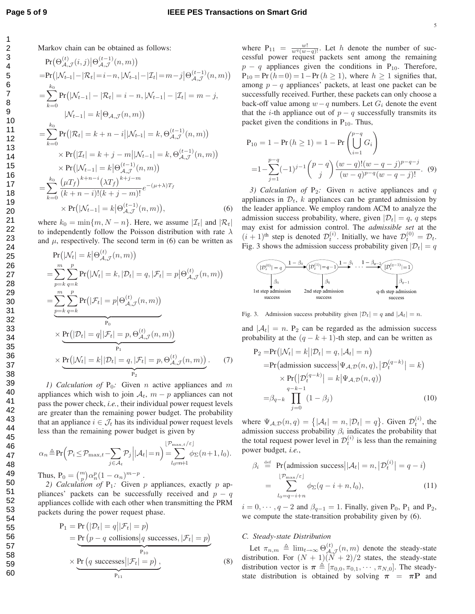4 5 6 7 8 9 10 11 12 13 14 15 16 17 18 19 20 21 22 23 24 25 26 27 28 29 30 31 32 33 34 35 36 37 38 39 40 41 42 43 44 45 46 47 48 49 50 51 52 53 54 55 56 57 58 59

60

Markov chain can be obtained as follows:

$$
\Pr(\Theta_{\mathcal{A},\mathcal{J}}^{(t)}(i,j)|\Theta_{\mathcal{A},\mathcal{J}}^{(t-1)}(n,m))
$$
\n=Pr(|\mathcal{N}\_{t-1}|-|\mathcal{R}\_t|=i-n,|\mathcal{N}\_{t-1}|-|\mathcal{I}\_t|=m-j|\Theta\_{\mathcal{A},\mathcal{J}}^{(t-1)}(n,m))\n  
\n=  $\sum_{k=0}^{k_0} \Pr(|\mathcal{N}_{t-1}|-|\mathcal{R}_t|=i-n,|\mathcal{N}_{t-1}|-|\mathcal{I}_t|=m-j,$   
\n
$$
|\mathcal{N}_{t-1}|=k|\Theta_{\mathcal{A},\mathcal{J}}(n,m))
$$
\n=  $\sum_{k=0}^{k_0} \Pr(|\mathcal{R}_t|=k+n-i||\mathcal{N}_{t-1}|=k, \Theta_{\mathcal{A},\mathcal{J}}^{(t-1)}(n,m))$   
\n $\times \Pr(|\mathcal{I}_t|=k+j-m||\mathcal{N}_{t-1}|=k, \Theta_{\mathcal{A},\mathcal{J}}^{(t-1)}(n,m))$   
\n $\times \Pr(|\mathcal{N}_{t-1}|=k|\Theta_{\mathcal{A},\mathcal{J}}^{(t-1)}(n,m))$   
\n=  $\sum_{k=0}^{k_0} \frac{(\mu T_f)^{k+n-i} (\lambda T_f)^{k+j-m}}{(k+n-i)!(k+j-m)!} e^{-(\mu+\lambda)T_f}$   
\n $\times \Pr(|\mathcal{N}_{t-1}|=k|\Theta_{\mathcal{A},\mathcal{J}}^{(t-1)}(n,m)),$  (6)

where  $k_0 = \min\{m, N - n\}$ . Here, we assume  $|\mathcal{I}_t|$  and  $|\mathcal{R}_t|$ to independently follow the Poisson distribution with rate  $\lambda$ and  $\mu$ , respectively. The second term in (6) can be written as

$$
\Pr(|\mathcal{N}_t| = k | \Theta_{\mathcal{A}, \mathcal{J}}^{(t)}(n, m))
$$
\n
$$
= \sum_{p=k}^{m} \sum_{q=k}^{p} \Pr(|\mathcal{N}_t| = k, |\mathcal{D}_t| = q, |\mathcal{F}_t| = p | \Theta_{\mathcal{A}, \mathcal{J}}^{(t)}(n, m))
$$
\n
$$
= \sum_{p=k}^{m} \sum_{q=k}^{p} \Pr(|\mathcal{F}_t| = p | \Theta_{\mathcal{A}, \mathcal{J}}^{(t)}(n, m))
$$
\n
$$
\times \Pr(|\mathcal{D}_t| = q | |\mathcal{F}_t| = p, \Theta_{\mathcal{A}, \mathcal{J}}^{(t)}(n, m))
$$
\n
$$
\times \Pr(|\mathcal{N}_t| = k | |\mathcal{D}_t| = q, |\mathcal{F}_t| = p, \Theta_{\mathcal{A}, \mathcal{J}}^{(t)}(n, m))
$$
\n
$$
\times \Pr(|\mathcal{N}_t| = k | |\mathcal{D}_t| = q, |\mathcal{F}_t| = p, \Theta_{\mathcal{A}, \mathcal{J}}^{(t)}(n, m))
$$
\n(7)

*1) Calculation of*  $P_0$ *:* Given *n* active appliances and *m* appliances which wish to join  $A_t$ ,  $m - p$  appliances can not pass the power check, *i.e.*, their individual power request levels are greater than the remaining power budget. The probability that an appliance  $i \in \mathcal{J}_t$  has its individual power request levels less than the remaining power budget is given by

$$
\alpha_n \triangleq \Pr\left(\mathcal{P}_i \leq \mathcal{P}_{\max,t} - \sum_{j \in \mathcal{A}_t} \mathcal{P}_j \middle| |\mathcal{A}_t| = n\right) = \sum_{l_0 = n+1}^{\lfloor \mathcal{P}_{\max,t}/\varepsilon \rfloor} \phi_{\Sigma}(n+1, l_0).
$$

Thus,  $P_0 = \binom{m}{p} \alpha_n^p (1 - \alpha_n)^{m-p}$ .

2) Calculation of  $P_1$ : Given p appliances, exactly p appliances' packets can be successfully received and  $p - q$ appliances collide with each other when transmitting the PRM packets during the power request phase.

$$
P_1 = Pr(|\mathcal{D}_t| = q||\mathcal{F}_t| = p)
$$
  
= Pr(p - q collisions | q successes, |\mathcal{F}\_t| = p)  

$$
\times \underbrace{Pr(q \text{ successes}||\mathcal{F}_t| = p)}_{P_{11}},
$$
 (8)

where  $P_{11} = \frac{w!}{w^q(w-q)!}$ . Let h denote the number of successful power request packets sent among the remaining  $p - q$  appliances given the conditions in P<sub>10</sub>. Therefore,  $P_{10} = Pr(h= 0) = 1 - Pr(h \ge 1)$ , where  $h \ge 1$  signifies that, among  $p - q$  appliances' packets, at least one packet can be successfully received. Further, these packets can only choose a back-off value among  $w-q$  numbers. Let  $G_i$  denote the event that the *i*-th appliance out of  $p - q$  successfully transmits its packet given the conditions in  $P_{10}$ . Thus,

$$
P_{10} = 1 - Pr(h \ge 1) = 1 - Pr\left(\bigcup_{i=1}^{p-q} G_i\right)
$$
  
=  $1 - \sum_{j=1}^{p-q} (-1)^{j-1} {p-q \choose j} \frac{(w-q)!(w-q-j)^{p-q-j}}{(w-q)^{p-q}(w-q-j)!}$ . (9)

*3) Calculation of*  $P_2$ : Given *n* active appliances and q appliances in  $\mathcal{D}_t$ , k appliances can be granted admission by the leader appliance. We employ random ACM to analyze the admission success probability, where, given  $|\mathcal{D}_t| = q$ , q steps may exist for admission control. The *admissible set* at the  $(i + 1)$ <sup>th</sup> step is denoted  $\mathcal{D}_t^{(i)}$ . Initially, we have  $\mathcal{D}_t^{(0)} = \mathcal{D}_t$ . Fig. 3 shows the admission success probability given  $|\mathcal{D}_t| = q$ 



Fig. 3. Admission success probability given  $|\mathcal{D}_t| = q$  and  $|\mathcal{A}_t| = n$ .

and  $|A_t| = n$ .  $P_2$  can be regarded as the admission success probability at the  $(q - k + 1)$ -th step, and can be written as

$$
P_2 = Pr(|\mathcal{N}_t| = k||\mathcal{D}_t| = q, |\mathcal{A}_t| = n)
$$
  
\n
$$
= Pr(\text{admission success}|\Psi_{\mathcal{A},\mathcal{D}}(n,q), |\mathcal{D}_t^{(q-k)}| = k)
$$
  
\n
$$
\times Pr(|\mathcal{D}_t^{(q-k)}| = k|\Psi_{\mathcal{A},\mathcal{D}}(n,q))
$$
  
\n
$$
= \beta_{q-k} \prod_{j=0}^{q-k-1} (1 - \beta_j)
$$
 (10)

where  $\Psi_{\mathcal{A},\mathcal{D}}(n,q) = \{|\mathcal{A}_t| = n, |\mathcal{D}_t| = q\}$ . Given  $\mathcal{D}_t^{(i)}$ , the admission success probability  $\beta_i$  indicates the probability that the total request power level in  $\mathcal{D}_t^{(i)}$  is less than the remaining power budget, *i.e.*,

$$
\beta_i \stackrel{\text{def}}{=} \Pr(\text{admission success} \mid |\mathcal{A}_t| = n, |\mathcal{D}_t^{(i)}| = q - i)
$$
\n
$$
= \sum_{l_0 = q - i + n}^{\lfloor \mathcal{P}_{\text{max}}/\varepsilon \rfloor} \phi_{\Sigma}(q - i + n, l_0), \tag{11}
$$

 $i = 0, \dots, q - 2$  and  $\beta_{q-1} = 1$ . Finally, given P<sub>0</sub>, P<sub>1</sub> and P<sub>2</sub>, we compute the state-transition probability given by (6).

# *C. Steady-state Distribution*

Let  $\pi_{n,m} \triangleq \lim_{t \to \infty} \Theta_{\mathcal{A}_{\lambda}}^{(t)}$  $\mathcal{A}_{\mathcal{A},\mathcal{J}}^{(t)}(n,m)$  denote the steady-state distribution. For  $(N + 1)(N + 2)/2$  states, the steady-state distribution vector is  $\boldsymbol{\pi} \triangleq [\pi_{0,0}, \pi_{0,1}, \cdots, \pi_{N,0}]$ . The steadystate distribution is obtained by solving  $\pi = \pi P$  and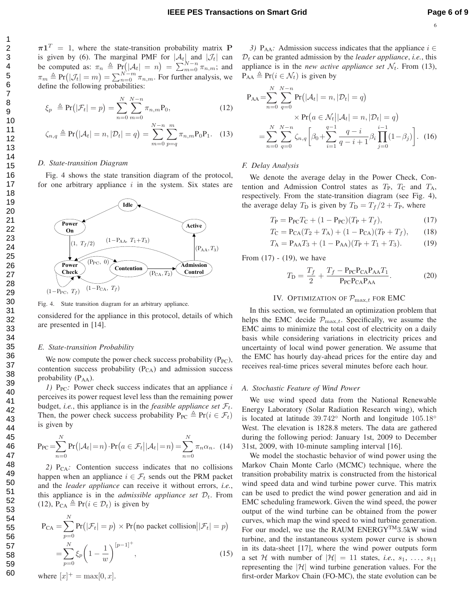$\pi \mathbf{1}^T = 1$ , where the state-transition probability matrix **P** is given by (6). The marginal PMF for  $|\mathcal{A}_t|$  and  $|\mathcal{J}_t|$  can be computed as:  $\pi_n \triangleq Pr(|\mathcal{A}_t| = n) = \sum_{m=0}^{N-n} \pi_{n,m}$ ; and  $\pi_m \triangleq Pr(|\mathcal{J}_t| = m) = \sum_{n=0}^{N-m} \pi_{n,m}$ . For further analysis, we define the following probabilities:

$$
\xi_p \triangleq \Pr(|\mathcal{F}_t| = p) = \sum_{n=0}^{N} \sum_{m=0}^{N-n} \pi_{n,m} P_0,
$$
\n(12)

$$
\zeta_{n,q} \triangleq \Pr(|\mathcal{A}_t| = n, |\mathcal{D}_t| = q) = \sum_{m=0}^{N-n} \sum_{p=q}^{m} \pi_{n,m} \mathbf{P}_0 \mathbf{P}_1.
$$
 (13)

#### *D. State-transition Diagram*

Fig. 4 shows the state transition diagram of the protocol, for one arbitrary appliance  $i$  in the system. Six states are



Fig. 4. State transition diagram for an arbitrary appliance.

considered for the appliance in this protocol, details of which are presented in [14].

#### *E. State-transition Probability*

We now compute the power check success probability  $(P_{PC})$ , contention success probability  $(P_{CA})$  and admission success probability  $(P_{AA})$ .

*1)*  $P_{PC}$ : Power check success indicates that an appliance *i* perceives its power request level less than the remaining power budget, *i.e.*, this appliance is in the *feasible appliance set*  $\mathcal{F}_t$ . Then, the power check success probability  $P_{PC} \triangleq Pr(i \in \mathcal{F}_t)$ is given by

$$
\Pr_{\text{PC}} = \sum_{n=0}^{N} \Pr(|\mathcal{A}_t| = n) \cdot \Pr(a \in \mathcal{F}_t | |\mathcal{A}_t| = n) = \sum_{n=0}^{N} \pi_n \alpha_n. \tag{14}
$$

2) P<sub>CA</sub>: Contention success indicates that no collisions happen when an appliance  $i \in \mathcal{F}_t$  sends out the PRM packet and the *leader appliance* can receive it without errors, *i.e.*, this appliance is in the *admissible appliance set*  $D_t$ . From (12),  $P_{CA} \triangleq Pr(i \in \mathcal{D}_t)$  is given by

$$
P_{CA} = \sum_{p=0}^{N} Pr(|\mathcal{F}_t| = p) \times Pr(\text{no packet collision}||\mathcal{F}_t| = p)
$$
  
= 
$$
\sum_{p=0}^{N} \xi_p \left(1 - \frac{1}{w}\right)^{[p-1]^+},
$$
 (15)

where  $[x]^{+} = \max[0, x]$ .

*3*)  $P_{AA}$ : Admission success indicates that the appliance  $i \in$  $D_t$  can be granted admission by the *leader appliance*, *i.e.*, this appliance is in the *new active appliance set*  $\mathcal{N}_t$ . From (13),  $P_{AA} \triangleq Pr(i \in \mathcal{N}_t)$  is given by

$$
P_{AA} = \sum_{n=0}^{N} \sum_{q=0}^{N-n} Pr(|A_t| = n, |\mathcal{D}_t| = q)
$$
  
 
$$
\times Pr(a \in \mathcal{N}_t | |A_t| = n, |\mathcal{D}_t| = q)
$$
  
 
$$
= \sum_{n=0}^{N} \sum_{q=0}^{N-n} \zeta_{n,q} \left[ \beta_0 + \sum_{i=1}^{q-1} \frac{q-i}{q-i+1} \beta_i \prod_{j=0}^{i-1} (1-\beta_j) \right].
$$
 (16)

#### *F. Delay Analysis*

We denote the average delay in the Power Check, Contention and Admission Control states as  $T_{\rm P}$ ,  $T_{\rm C}$  and  $T_{\rm A}$ , respectively. From the state-transition diagram (see Fig. 4), the average delay  $T_D$  is given by  $T_D = T_f/2 + T_P$ , where

$$
T_{\rm P} = P_{\rm PC} T_{\rm C} + (1 - P_{\rm PC})(T_{\rm P} + T_f),\tag{17}
$$

$$
T_{\rm C} = P_{\rm CA}(T_2 + T_{\rm A}) + (1 - P_{\rm CA})(T_{\rm P} + T_f), \qquad (18)
$$

$$
T_{\rm A} = P_{\rm AA}T_3 + (1 - P_{\rm AA})(T_{\rm P} + T_1 + T_3). \tag{19}
$$

From (17) - (19), we have

$$
T_{\rm D} = \frac{T_f}{2} + \frac{T_f - P_{\rm PC} P_{\rm CA} P_{\rm AA} T_1}{P_{\rm PC} P_{\rm CA} P_{\rm AA}}.
$$
 (20)

# IV. OPTIMIZATION OF  $\mathcal{P}_{\text{max},t}$  for EMC

In this section, we formulated an optimization problem that helps the EMC decide  $\mathcal{P}_{\text{max},t}$ . Specifically, we assume the EMC aims to minimize the total cost of electricity on a daily basis while considering variations in electricity prices and uncertainty of local wind power generation. We assume that the EMC has hourly day-ahead prices for the entire day and receives real-time prices several minutes before each hour.

#### *A. Stochastic Feature of Wind Power*

We use wind speed data from the National Renewable Energy Laboratory (Solar Radiation Research wing), which is located at latitude 39.742◦ North and longitude 105.18◦ West. The elevation is 1828.8 meters. The data are gathered during the following period: January 1st, 2009 to December 31st, 2009, with 10-minute sampling interval [16].

We model the stochastic behavior of wind power using the Markov Chain Monte Carlo (MCMC) technique, where the transition probability matrix is constructed from the historical wind speed data and wind turbine power curve. This matrix can be used to predict the wind power generation and aid in EMC scheduling framework. Given the wind speed, the power output of the wind turbine can be obtained from the power curves, which map the wind speed to wind turbine generation. For our model, we use the RAUM ENERGY<sup>TM</sup>3.5kW wind turbine, and the instantaneous system power curve is shown in its data-sheet [17], where the wind power outputs form a set H with number of  $|\mathcal{H}| = 11$  states, *i.e.*,  $s_1, \ldots, s_{11}$ representing the  $|\mathcal{H}|$  wind turbine generation values. For the first-order Markov Chain (FO-MC), the state evolution can be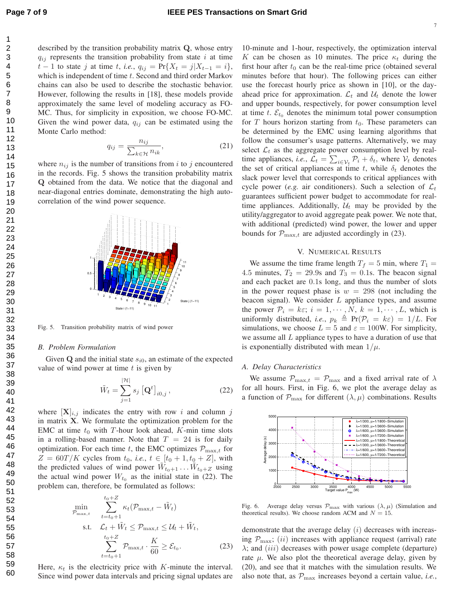described by the transition probability matrix Q, whose entry  $q_{ij}$  represents the transition probability from state i at time  $t-1$  to state j at time t, *i.e.*,  $q_{ij} = Pr{X_t = j | X_{t-1} = i}$ , which is independent of time  $t$ . Second and third order Markov chains can also be used to describe the stochastic behavior. However, following the results in [18], these models provide approximately the same level of modeling accuracy as FO-MC. Thus, for simplicity in exposition, we choose FO-MC. Given the wind power data,  $q_{ij}$  can be estimated using the Monte Carlo method:

$$
q_{ij} = \frac{n_{ij}}{\sum_{k \in \mathcal{H}} n_{ik}},\tag{21}
$$

where  $n_{ij}$  is the number of transitions from i to j encountered in the records. Fig. 5 shows the transition probability matrix Q obtained from the data. We notice that the diagonal and near-diagonal entries dominate, demonstrating the high autocorrelation of the wind power sequence.



Fig. 5. Transition probability matrix of wind power

#### *B. Problem Formulation*

Given  $Q$  and the initial state  $s_{i0}$ , an estimate of the expected value of wind power at time  $t$  is given by

$$
\tilde{W}_t = \sum_{j=1}^{|\mathcal{H}|} s_j \left[ \mathbf{Q}^t \right]_{i0,j}, \tag{22}
$$

where  $[X]_{i,j}$  indicates the entry with row i and column j in matrix X. We formulate the optimization problem for the EMC at time  $t_0$  with T-hour look ahead, K-min time slots in a rolling-based manner. Note that  $T = 24$  is for daily optimization. For each time t, the EMC optimizes  $\mathcal{P}_{\text{max},t}$  for  $Z = 60T/K$  cycles from  $t_0$ , *i.e.*,  $t \in [t_0 + 1, t_0 + Z]$ , with the predicted values of wind power  $\tilde{W}_{t_0+1}$ ...  $\tilde{W}_{t_0+Z}$  using the actual wind power  $W_{t_0}$  as the initial state in (22). The problem can, therefore, be formulated as follows:

$$
\min_{\mathcal{P}_{\max,t}} \sum_{t=t_0+1}^{t_0+Z} \kappa_t(\mathcal{P}_{\max,t} - \tilde{W}_t)
$$
\n
$$
\text{s.t.} \quad \mathcal{L}_t + \tilde{W}_t \le \mathcal{P}_{\max,t} \le \mathcal{U}_t + \tilde{W}_t,
$$
\n
$$
\sum_{t=t_0+1}^{t_0+Z} \mathcal{P}_{\max,t} \cdot \frac{K}{60} \ge \mathcal{E}_{t_0}.\tag{23}
$$

Here,  $\kappa_t$  is the electricity price with K-minute the interval. Since wind power data intervals and pricing signal updates are 10-minute and 1-hour, respectively, the optimization interval K can be chosen as 10 minutes. The price  $\kappa_t$  during the first hour after  $t_0$  can be the real-time price (obtained several minutes before that hour). The following prices can either use the forecast hourly price as shown in [10], or the dayahead price for approximation.  $\mathcal{L}_t$  and  $\mathcal{U}_t$  denote the lower and upper bounds, respectively, for power consumption level at time t.  $\mathcal{E}_{t_0}$  denotes the minimum total power consumption for T hours horizon starting from  $t_0$ . These parameters can be determined by the EMC using learning algorithms that follow the consumer's usage patterns. Alternatively, we may select  $\mathcal{L}_t$  as the aggregate power consumption level by realtime appliances, *i.e.*,  $\mathcal{L}_t = \sum_{i \in \mathcal{V}_t} \mathcal{P}_i + \delta_t$ , where  $\mathcal{V}_t$  denotes the set of critical appliances at time t, while  $\delta_t$  denotes the slack power level that corresponds to critical appliances with cycle power (*e.g.* air conditioners). Such a selection of  $\mathcal{L}_t$ guarantees sufficient power budget to accommodate for realtime appliances. Additionally,  $U_t$  may be provided by the utility/aggregator to avoid aggregate peak power. We note that, with additional (predicted) wind power, the lower and upper bounds for  $\mathcal{P}_{\text{max},t}$  are adjusted accordingly in (23).

#### V. NUMERICAL RESULTS

We assume the time frame length  $T_f = 5$  min, where  $T_1 =$ 4.5 minutes,  $T_2 = 29.9s$  and  $T_3 = 0.1s$ . The beacon signal and each packet are 0.1s long, and thus the number of slots in the power request phase is  $w = 298$  (not including the beacon signal). We consider  $L$  appliance types, and assume the power  $P_i = k\varepsilon$ ;  $i = 1, \dots, N$ ,  $k = 1, \dots, L$ , which is uniformly distributed, *i.e.*,  $p_k \triangleq Pr(\mathcal{P}_i = k\varepsilon) = 1/L$ . For simulations, we choose  $L = 5$  and  $\varepsilon = 100W$ . For simplicity, we assume all L appliance types to have a duration of use that is exponentially distributed with mean  $1/\mu$ .

# *A. Delay Characteristics*

We assume  $\mathcal{P}_{\text{max},t} = \mathcal{P}_{\text{max}}$  and a fixed arrival rate of  $\lambda$ for all hours. First, in Fig. 6, we plot the average delay as a function of  $\mathcal{P}_{\text{max}}$  for different  $(\lambda, \mu)$  combinations. Results



Fig. 6. Average delay versus  $\mathcal{P}_{\text{max}}$  with various  $(\lambda, \mu)$  (Simulation and theoretical results). We choose random ACM and  $N = 15$ .

demonstrate that the average delay  $(i)$  decreases with increasing  $\mathcal{P}_{\text{max}}$ ; (*ii*) increases with appliance request (arrival) rate  $\lambda$ ; and (iii) decreases with power usage complete (departure) rate  $\mu$ . We also plot the theoretical average delay, given by (20), and see that it matches with the simulation results. We also note that, as  $P_{\text{max}}$  increases beyond a certain value, *i.e.*,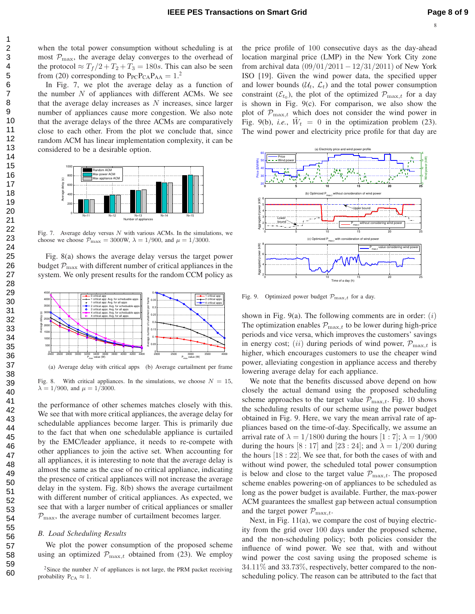when the total power consumption without scheduling is at most  $\mathcal{P}_{\max}$ , the average delay converges to the overhead of the protocol  $\approx T_f/2 + T_2 + T_3 = 180s$ . This can also be seen from (20) corresponding to  $P_{PC}P_{CA}P_{AA} = 1.2$ 

In Fig. 7, we plot the average delay as a function of the number  $N$  of appliances with different ACMs. We see that the average delay increases as  $N$  increases, since larger number of appliances cause more congestion. We also note that the average delays of the three ACMs are comparatively close to each other. From the plot we conclude that, since random ACM has linear implementation complexity, it can be considered to be a desirable option.



Fig. 7. Average delay versus  $N$  with various ACMs. In the simulations, we choose we choose  $\mathcal{P}_{\text{max}} = 3000W$ ,  $\lambda = 1/900$ , and  $\mu = 1/3000$ .

Fig. 8(a) shows the average delay versus the target power budget  $P_{\text{max}}$  with different number of critical appliances in the system. We only present results for the random CCM policy as



(a) Average delay with critical apps (b) Average curtailment per frame

Fig. 8. With critical appliances. In the simulations, we choose  $N = 15$ ,  $\lambda = 1/900$ , and  $\mu = 1/3000$ .

the performance of other schemes matches closely with this. We see that with more critical appliances, the average delay for schedulable appliances become larger. This is primarily due to the fact that when one schedulable appliance is curtailed by the EMC/leader appliance, it needs to re-compete with other appliances to join the active set. When accounting for all appliances, it is interesting to note that the average delay is almost the same as the case of no critical appliance, indicating the presence of critical appliances will not increase the average delay in the system. Fig. 8(b) shows the average curtailment with different number of critical appliances. As expected, we see that with a larger number of critical appliances or smaller  $P_{\text{max}}$ , the average number of curtailment becomes larger.

#### *B. Load Scheduling Results*

We plot the power consumption of the proposed scheme using an optimized  $\mathcal{P}_{\text{max},t}$  obtained from (23). We employ

the price profile of 100 consecutive days as the day-ahead location marginal price (LMP) in the New York City zone from archival data  $(09/01/2011 - 12/31/2011)$  of New York ISO [19]. Given the wind power data, the specified upper and lower bounds  $(U_t, \mathcal{L}_t)$  and the total power consumption constraint  $(\mathcal{E}_{t_0})$ , the plot of the optimized  $\mathcal{P}_{\max,t}$  for a day is shown in Fig. 9(c). For comparison, we also show the plot of  $\mathcal{P}_{\text{max},t}$  which does not consider the wind power in Fig. 9(b), *i.e.*,  $\tilde{W}_t = 0$  in the optimization problem (23). The wind power and electricity price profile for that day are



Fig. 9. Optimized power budget  $\mathcal{P}_{\text{max},t}$  for a day.

shown in Fig. 9(a). The following comments are in order:  $(i)$ The optimization enables  $\mathcal{P}_{\text{max},t}$  to be lower during high-price periods and vice versa, which improves the customers' savings in energy cost; (ii) during periods of wind power,  $\mathcal{P}_{\text{max},t}$  is higher, which encourages customers to use the cheaper wind power, alleviating congestion in appliance access and thereby lowering average delay for each appliance.

We note that the benefits discussed above depend on how closely the actual demand using the proposed scheduling scheme approaches to the target value  $\mathcal{P}_{\text{max},t}$ . Fig. 10 shows the scheduling results of our scheme using the power budget obtained in Fig. 9. Here, we vary the mean arrival rate of appliances based on the time-of-day. Specifically, we assume an arrival rate of  $\lambda = 1/1800$  during the hours  $[1:7]$ ;  $\lambda = 1/900$ during the hours [8 : 17] and [23 : 24]; and  $\lambda = 1/200$  during the hours [18 : 22]. We see that, for both the cases of with and without wind power, the scheduled total power consumption is below and close to the target value  $\mathcal{P}_{\text{max},t}$ . The proposed scheme enables powering-on of appliances to be scheduled as long as the power budget is available. Further, the max-power ACM guarantees the smallest gap between actual consumption and the target power  $\mathcal{P}_{\text{max},t}$ .

Next, in Fig. 11(a), we compare the cost of buying electricity from the grid over 100 days under the proposed scheme, and the non-scheduling policy; both policies consider the influence of wind power. We see that, with and without wind power the cost saving using the proposed scheme is 34.11% and 33.73%, respectively, better compared to the nonscheduling policy. The reason can be attributed to the fact that

<sup>&</sup>lt;sup>2</sup>Since the number N of appliances is not large, the PRM packet receiving probability  $P_{CA} \approx 1$ .